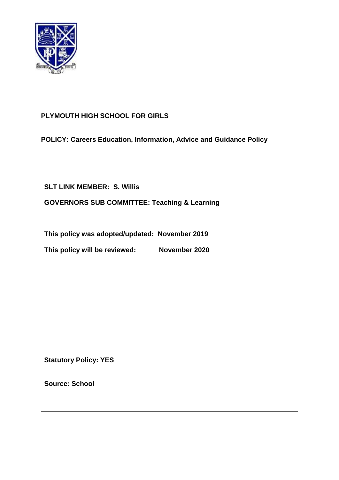

# **PLYMOUTH HIGH SCHOOL FOR GIRLS**

**POLICY: Careers Education, Information, Advice and Guidance Policy**

**SLT LINK MEMBER: S. Willis**

**GOVERNORS SUB COMMITTEE: Teaching & Learning**

**This policy was adopted/updated: November 2019**

**This policy will be reviewed: November 2020**

**Statutory Policy: YES**

**Source: School**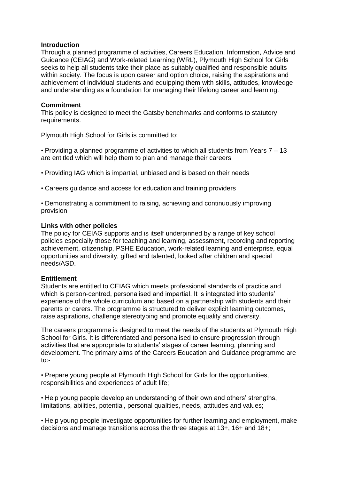### **Introduction**

Through a planned programme of activities, Careers Education, Information, Advice and Guidance (CEIAG) and Work-related Learning (WRL), Plymouth High School for Girls seeks to help all students take their place as suitably qualified and responsible adults within society. The focus is upon career and option choice, raising the aspirations and achievement of individual students and equipping them with skills, attitudes, knowledge and understanding as a foundation for managing their lifelong career and learning.

## **Commitment**

This policy is designed to meet the Gatsby benchmarks and conforms to statutory requirements.

Plymouth High School for Girls is committed to:

• Providing a planned programme of activities to which all students from Years 7 – 13 are entitled which will help them to plan and manage their careers

- Providing IAG which is impartial, unbiased and is based on their needs
- Careers guidance and access for education and training providers
- Demonstrating a commitment to raising, achieving and continuously improving provision

### **Links with other policies**

The policy for CEIAG supports and is itself underpinned by a range of key school policies especially those for teaching and learning, assessment, recording and reporting achievement, citizenship, PSHE Education, work-related learning and enterprise, equal opportunities and diversity, gifted and talented, looked after children and special needs/ASD.

### **Entitlement**

Students are entitled to CEIAG which meets professional standards of practice and which is person-centred, personalised and impartial. It is integrated into students' experience of the whole curriculum and based on a partnership with students and their parents or carers. The programme is structured to deliver explicit learning outcomes, raise aspirations, challenge stereotyping and promote equality and diversity.

The careers programme is designed to meet the needs of the students at Plymouth High School for Girls. It is differentiated and personalised to ensure progression through activities that are appropriate to students' stages of career learning, planning and development. The primary aims of the Careers Education and Guidance programme are  $to:$ 

• Prepare young people at Plymouth High School for Girls for the opportunities, responsibilities and experiences of adult life;

• Help young people develop an understanding of their own and others' strengths, limitations, abilities, potential, personal qualities, needs, attitudes and values;

• Help young people investigate opportunities for further learning and employment, make decisions and manage transitions across the three stages at 13+, 16+ and 18+;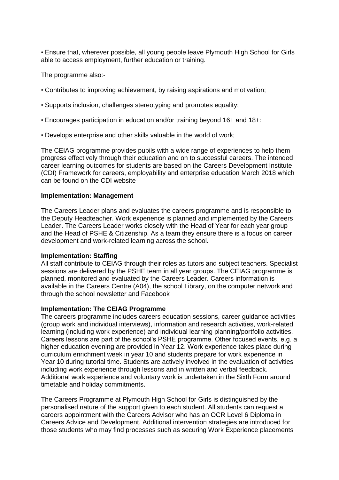• Ensure that, wherever possible, all young people leave Plymouth High School for Girls able to access employment, further education or training.

The programme also:-

- Contributes to improving achievement, by raising aspirations and motivation;
- Supports inclusion, challenges stereotyping and promotes equality;
- Encourages participation in education and/or training beyond 16+ and 18+:
- Develops enterprise and other skills valuable in the world of work;

The CEIAG programme provides pupils with a wide range of experiences to help them progress effectively through their education and on to successful careers. The intended career learning outcomes for students are based on the Careers Development Institute (CDI) Framework for careers, employability and enterprise education March 2018 which can be found on the CDI website

### **Implementation: Management**

The Careers Leader plans and evaluates the careers programme and is responsible to the Deputy Headteacher. Work experience is planned and implemented by the Careers Leader. The Careers Leader works closely with the Head of Year for each year group and the Head of PSHE & Citizenship. As a team they ensure there is a focus on career development and work-related learning across the school.

### **Implementation: Staffing**

All staff contribute to CEIAG through their roles as tutors and subject teachers. Specialist sessions are delivered by the PSHE team in all year groups. The CEIAG programme is planned, monitored and evaluated by the Careers Leader. Careers information is available in the Careers Centre (A04), the school Library, on the computer network and through the school newsletter and Facebook

### **Implementation: The CEIAG Programme**

The careers programme includes careers education sessions, career guidance activities (group work and individual interviews), information and research activities, work-related learning (including work experience) and individual learning planning/portfolio activities. Careers lessons are part of the school's PSHE programme. Other focused events, e.g. a higher education evening are provided in Year 12. Work experience takes place during curriculum enrichment week in year 10 and students prepare for work experience in Year 10 during tutorial time. Students are actively involved in the evaluation of activities including work experience through lessons and in written and verbal feedback. Additional work experience and voluntary work is undertaken in the Sixth Form around timetable and holiday commitments.

The Careers Programme at Plymouth High School for Girls is distinguished by the personalised nature of the support given to each student. All students can request a careers appointment with the Careers Advisor who has an OCR Level 6 Diploma in Careers Advice and Development. Additional intervention strategies are introduced for those students who may find processes such as securing Work Experience placements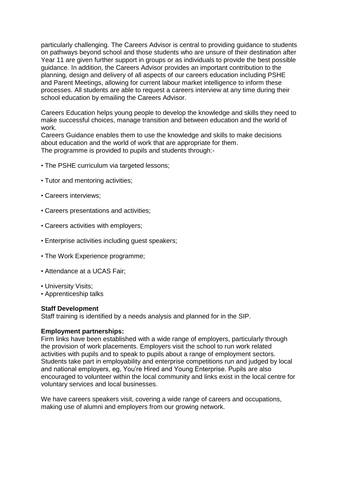particularly challenging. The Careers Advisor is central to providing guidance to students on pathways beyond school and those students who are unsure of their destination after Year 11 are given further support in groups or as individuals to provide the best possible guidance. In addition, the Careers Advisor provides an important contribution to the planning, design and delivery of all aspects of our careers education including PSHE and Parent Meetings, allowing for current labour market intelligence to inform these processes. All students are able to request a careers interview at any time during their school education by emailing the Careers Advisor.

Careers Education helps young people to develop the knowledge and skills they need to make successful choices, manage transition and between education and the world of work.

Careers Guidance enables them to use the knowledge and skills to make decisions about education and the world of work that are appropriate for them. The programme is provided to pupils and students through:-

- The PSHE curriculum via targeted lessons;
- Tutor and mentoring activities;
- Careers interviews;
- Careers presentations and activities;
- Careers activities with employers;
- Enterprise activities including guest speakers;
- The Work Experience programme;
- Attendance at a UCAS Fair;
- University Visits;
- Apprenticeship talks

#### **Staff Development**

Staff training is identified by a needs analysis and planned for in the SIP.

#### **Employment partnerships:**

Firm links have been established with a wide range of employers, particularly through the provision of work placements. Employers visit the school to run work related activities with pupils and to speak to pupils about a range of employment sectors. Students take part in employability and enterprise competitions run and judged by local and national employers, eg, You're Hired and Young Enterprise. Pupils are also encouraged to volunteer within the local community and links exist in the local centre for voluntary services and local businesses.

We have careers speakers visit, covering a wide range of careers and occupations, making use of alumni and employers from our growing network.